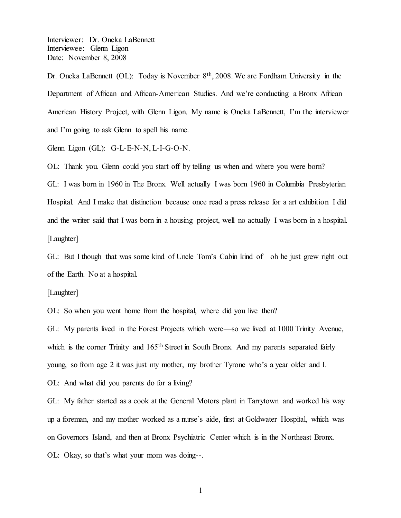Dr. Oneka LaBennett (OL): Today is November 8<sup>th</sup>, 2008. We are Fordham University in the Department of African and African-American Studies. And we're conducting a Bronx African American History Project, with Glenn Ligon. My name is Oneka LaBennett, I'm the interviewer and I'm going to ask Glenn to spell his name.

Glenn Ligon (GL): G-L-E-N-N, L-I-G-O-N.

OL: Thank you. Glenn could you start off by telling us when and where you were born? GL: I was born in 1960 in The Bronx. Well actually I was born 1960 in Columbia Presbyterian Hospital. And I make that distinction because once read a press release for a art exhibition I did and the writer said that I was born in a housing project, well no actually I was born in a hospital. [Laughter]

GL: But I though that was some kind of Uncle Tom's Cabin kind of —oh he just grew right out of the Earth. No at a hospital.

[Laughter]

OL: So when you went home from the hospital, where did you live then?

GL: My parents lived in the Forest Projects which were—so we lived at 1000 Trinity Avenue, which is the corner Trinity and 165<sup>th</sup> Street in South Bronx. And my parents separated fairly young, so from age 2 it was just my mother, my brother Tyrone who's a year older and I. OL: And what did you parents do for a living?

GL: My father started as a cook at the General Motors plant in Tarrytown and worked his way up a foreman, and my mother worked as a nurse's aide, first at Goldwater Hospital, which was on Governors Island, and then at Bronx Psychiatric Center which is in the Northeast Bronx. OL: Okay, so that's what your mom was doing--.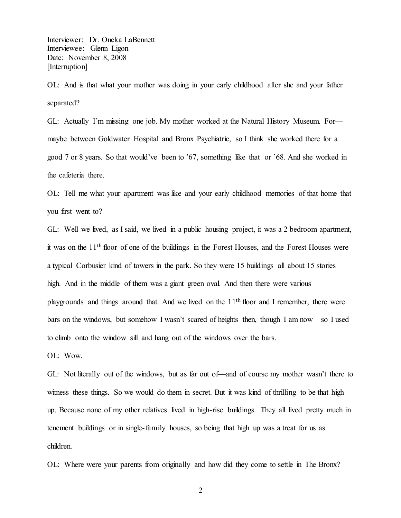Interviewer: Dr. Oneka LaBennett Interviewee: Glenn Ligon Date: November 8, 2008 [Interruption]

OL: And is that what your mother was doing in your early childhood after she and your father separated?

GL: Actually I'm missing one job. My mother worked at the Natural History Museum. For maybe between Goldwater Hospital and Bronx Psychiatric, so I think she worked there for a good 7 or 8 years. So that would've been to '67, something like that or '68. And she worked in the cafeteria there.

OL: Tell me what your apartment was like and your early childhood memories of that home that you first went to?

GL: Well we lived, as I said, we lived in a public housing project, it was a 2 bedroom apartment, it was on the 11th floor of one of the buildings in the Forest Houses, and the Forest Houses were a typical Corbusier kind of towers in the park. So they were 15 buildings all about 15 stories high. And in the middle of them was a giant green oval. And then there were various playgrounds and things around that. And we lived on the  $11<sup>th</sup>$  floor and I remember, there were bars on the windows, but somehow I wasn't scared of heights then, though I am now—so I used to climb onto the window sill and hang out of the windows over the bars.

OL: Wow.

GL: Not literally out of the windows, but as far out of—and of course my mother wasn't there to witness these things. So we would do them in secret. But it was kind of thrilling to be that high up. Because none of my other relatives lived in high-rise buildings. They all lived pretty much in tenement buildings or in single-family houses, so being that high up was a treat for us as children.

OL: Where were your parents from originally and how did they come to settle in The Bronx?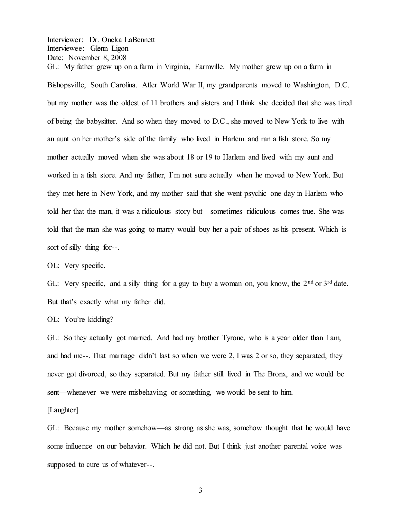GL: My father grew up on a farm in Virginia, Farmville. My mother grew up on a farm in Bishopsville, South Carolina. After World War II, my grandparents moved to Washington, D.C. but my mother was the oldest of 11 brothers and sisters and I think she decided that she was tired of being the babysitter. And so when they moved to D.C., she moved to New York to live with an aunt on her mother's side of the family who lived in Harlem and ran a fish store. So my mother actually moved when she was about 18 or 19 to Harlem and lived with my aunt and worked in a fish store. And my father, I'm not sure actually when he moved to New York. But they met here in New York, and my mother said that she went psychic one day in Harlem who told her that the man, it was a ridiculous story but—sometimes ridiculous comes true. She was told that the man she was going to marry would buy her a pair of shoes as his present. Which is sort of silly thing for--.

OL: Very specific.

GL: Very specific, and a silly thing for a guy to buy a woman on, you know, the  $2<sup>nd</sup>$  or  $3<sup>rd</sup>$  date. But that's exactly what my father did.

OL: You're kidding?

GL: So they actually got married. And had my brother Tyrone, who is a year older than I am, and had me--. That marriage didn't last so when we were 2, I was 2 or so, they separated, they never got divorced, so they separated. But my father still lived in The Bronx, and we would be sent—whenever we were misbehaving or something, we would be sent to him.

[Laughter]

GL: Because my mother somehow—as strong as she was, somehow thought that he would have some influence on our behavior. Which he did not. But I think just another parental voice was supposed to cure us of whatever--.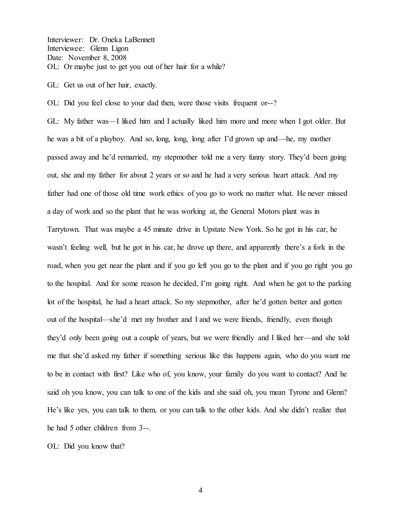Interviewer: Dr. Oneka LaBennett Interviewee: Glenn Ligon Date: November 8, 2008 OL: Or maybe just to get you out of her hair for a while?

GL: Get us out of her hair, exactly.

OL: Did you feel close to your dad then, were those visits frequent or--?

GL: My father was—I liked him and I actually liked him more and more when I got older. But he was a bit of a playboy. And so, long, long, long after I'd grown up and—he, my mother passed away and he'd remarried, my stepmother told me a very funny story. They'd been going out, she and my father for about 2 years or so and he had a very serious heart attack. And my father had one of those old time work ethics of you go to work no matter what. He never missed a day of work and so the plant that he was working at, the General Motors plant was in Tarrytown. That was maybe a 45 minute drive in Upstate New York. So he got in his car, he wasn't feeling well, but he got in his car, he drove up there, and apparently there's a fork in the road, when you get near the plant and if you go left you go to the plant and if you go right you go to the hospital. And for some reason he decided, I'm going right. And when he got to the parking lot of the hospital, he had a heart attack. So my stepmother, after he'd gotten better and gotten out of the hospital—she'd met my brother and I and we were friends, friendly, even though they'd only been going out a couple of years, but we were friendly and I liked her—and she told me that she'd asked my father if something serious like this happens again, who do you want me to be in contact with first? Like who of, you know, your family do you want to contact? And he said oh you know, you can talk to one of the kids and she said oh, you mean Tyrone and Glenn? He's like yes, you can talk to them, or you can talk to the other kids. And she didn't realize that he had 5 other children from 3--.

OL: Did you know that?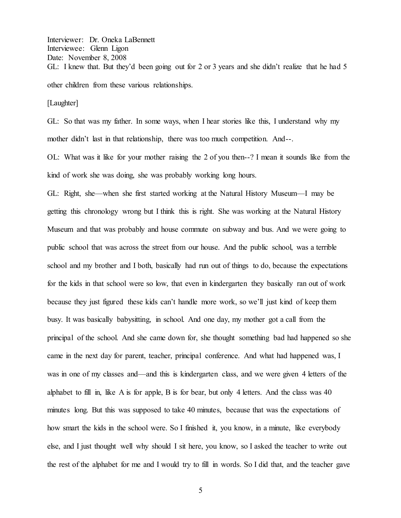Interviewer: Dr. Oneka LaBennett Interviewee: Glenn Ligon Date: November 8, 2008 GL: I knew that. But they'd been going out for 2 or 3 years and she didn't realize that he had 5 other children from these various relationships.

[Laughter]

GL: So that was my father. In some ways, when I hear stories like this, I understand why my mother didn't last in that relationship, there was too much competition. And--.

OL: What was it like for your mother raising the 2 of you then--? I mean it sounds like from the kind of work she was doing, she was probably working long hours.

GL: Right, she—when she first started working at the Natural History Museum—I may be getting this chronology wrong but I think this is right. She was working at the Natural History Museum and that was probably and house commute on subway and bus. And we were going to public school that was across the street from our house. And the public school, was a terrible school and my brother and I both, basically had run out of things to do, because the expectations for the kids in that school were so low, that even in kindergarten they basically ran out of work because they just figured these kids can't handle more work, so we'll just kind of keep them busy. It was basically babysitting, in school. And one day, my mother got a call from the principal of the school. And she came down for, she thought something bad had happened so she came in the next day for parent, teacher, principal conference. And what had happened was, I was in one of my classes and—and this is kindergarten class, and we were given 4 letters of the alphabet to fill in, like A is for apple, B is for bear, but only 4 letters. And the class was 40 minutes long. But this was supposed to take 40 minutes, because that was the expectations of how smart the kids in the school were. So I finished it, you know, in a minute, like everybody else, and I just thought well why should I sit here, you know, so I asked the teacher to write out the rest of the alphabet for me and I would try to fill in words. So I did that, and the teacher gave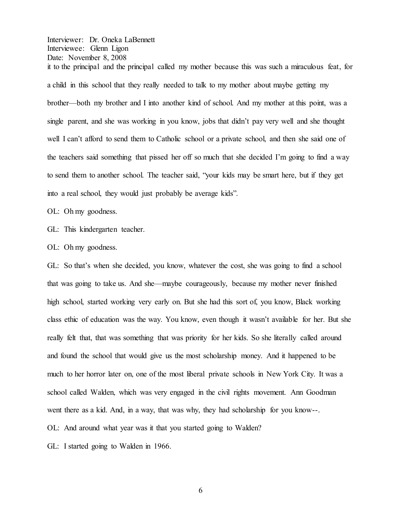Interviewer: Dr. Oneka LaBennett Interviewee: Glenn Ligon Date: November 8, 2008 it to the principal and the principal called my mother because this was such a miraculous feat, for a child in this school that they really needed to talk to my mother about maybe getting my brother—both my brother and I into another kind of school. And my mother at this point, was a single parent, and she was working in you know, jobs that didn't pay very well and she thought well I can't afford to send them to Catholic school or a private school, and then she said one of the teachers said something that pissed her off so much that she decided I'm going to find a way to send them to another school. The teacher said, "your kids may be smart here, but if they get into a real school, they would just probably be average kids".

OL: Oh my goodness.

GL: This kindergarten teacher.

OL: Oh my goodness.

GL: So that's when she decided, you know, whatever the cost, she was going to find a school that was going to take us. And she—maybe courageously, because my mother never finished high school, started working very early on. But she had this sort of, you know, Black working class ethic of education was the way. You know, even though it wasn't available for her. But she really felt that, that was something that was priority for her kids. So she literally called around and found the school that would give us the most scholarship money. And it happened to be much to her horror later on, one of the most liberal private schools in New York City. It was a school called Walden, which was very engaged in the civil rights movement. Ann Goodman went there as a kid. And, in a way, that was why, they had scholarship for you know--. OL: And around what year was it that you started going to Walden?

GL: I started going to Walden in 1966.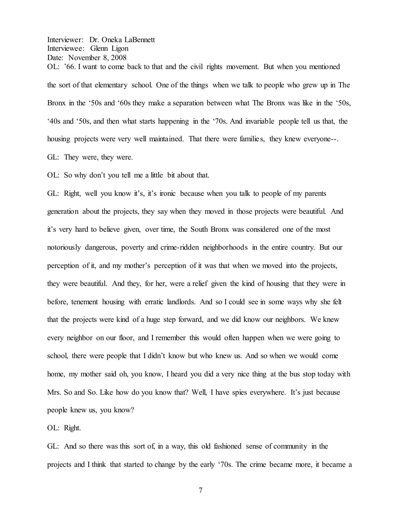Interviewer: Dr. Oneka LaBennett Interviewee: Glenn Ligon Date: November 8, 2008 OL: '66. I want to come back to that and the civil rights movement. But when you mentioned the sort of that elementary school. One of the things when we talk to people who grew up in The Bronx in the '50s and '60s they make a separation between what The Bronx was like in the '50s, 40s and 50s, and then what starts happening in the '70s. And invariable people tell us that, the housing projects were very well maintained. That there were families, they knew everyone--.

GL: They were, they were.

OL: So why don't you tell me a little bit about that.

GL: Right, well you know it's, it's ironic because when you talk to people of my parents generation about the projects, they say when they moved in those projects were beautiful. And it's very hard to believe given, over time, the South Bronx was considered one of the most notoriously dangerous, poverty and crime-ridden neighborhoods in the entire country. But our perception of it, and my mother's perception of it was that when we moved into the projects, they were beautiful. And they, for her, were a relief given the kind of housing that they were in before, tenement housing with erratic landlords. And so I could see in some ways why she felt that the projects were kind of a huge step forward, and we did know our neighbors. We knew every neighbor on our floor, and I remember this would often happen when we were going to school, there were people that I didn't know but who knew us. And so when we would come home, my mother said oh, you know, I heard you did a very nice thing at the bus stop today with Mrs. So and So. Like how do you know that? Well, I have spies everywhere. It's just because people knew us, you know?

OL: Right.

GL: And so there was this sort of, in a way, this old fashioned sense of community in the projects and I think that started to change by the early '70s. The crime became more, it became a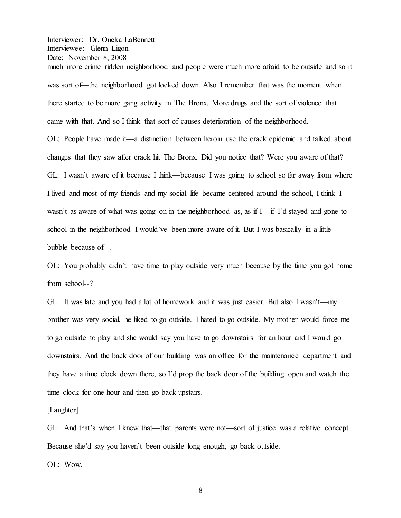Interviewer: Dr. Oneka LaBennett Interviewee: Glenn Ligon Date: November 8, 2008 much more crime ridden neighborhood and people were much more afraid to be outside and so it was sort of—the neighborhood got locked down. Also I remember that was the moment when there started to be more gang activity in The Bronx. More drugs and the sort of violence that

came with that. And so I think that sort of causes deterioration of the neighborhood.

OL: People have made it—a distinction between heroin use the crack epidemic and talked about changes that they saw after crack hit The Bronx. Did you notice that? Were you aware of that? GL: I wasn't aware of it because I think—because I was going to school so far away from where I lived and most of my friends and my social life became centered around the school, I think I wasn't as aware of what was going on in the neighborhood as, as if I—if I'd stayed and gone to school in the neighborhood I would've been more aware of it. But I was basically in a little bubble because of--.

OL: You probably didn't have time to play outside very much because by the time you got home from school--?

GL: It was late and you had a lot of homework and it was just easier. But also I wasn't—my brother was very social, he liked to go outside. I hated to go outside. My mother would force me to go outside to play and she would say you have to go downstairs for an hour and I would go downstairs. And the back door of our building was an office for the maintenance department and they have a time clock down there, so I'd prop the back door of the building open and watch the time clock for one hour and then go back upstairs.

[Laughter]

GL: And that's when I knew that—that parents were not—sort of justice was a relative concept. Because she'd say you haven't been outside long enough, go back outside.

OL: Wow.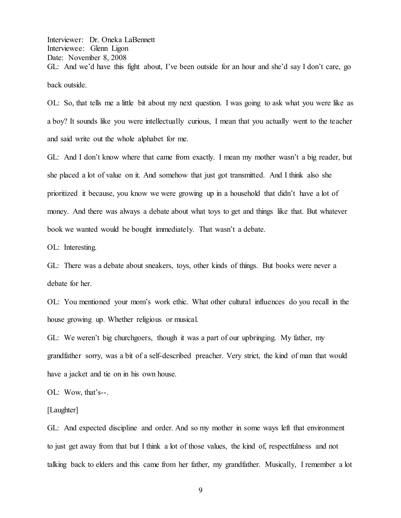Interviewer: Dr. Oneka LaBennett Interviewee: Glenn Ligon Date: November 8, 2008 GL: And we'd have this fight about, I've been outside for an hour and she'd say I don't care, go back outside.

OL: So, that tells me a little bit about my next question. I was going to ask what you were like as a boy? It sounds like you were intellectually curious, I mean that you actually went to the teacher and said write out the whole alphabet for me.

GL: And I don't know where that came from exactly. I mean my mother wasn't a big reader, but she placed a lot of value on it. And somehow that just got transmitted. And I think also she prioritized it because, you know we were growing up in a household that didn't have a lot of money. And there was always a debate about what toys to get and things like that. But whatever book we wanted would be bought immediately. That wasn't a debate.

OL: Interesting.

GL: There was a debate about sneakers, toys, other kinds of things. But books were never a debate for her.

OL: You mentioned your mom's work ethic. What other cultural influences do you recall in the house growing up. Whether religious or musical.

GL: We weren't big churchgoers, though it was a part of our upbringing. My father, my grandfather sorry, was a bit of a self-described preacher. Very strict, the kind of man that would have a jacket and tie on in his own house.

OL: Wow, that's--.

[Laughter]

GL: And expected discipline and order. And so my mother in some ways left that environment to just get away from that but I think a lot of those values, the kind of, respectfulness and not talking back to elders and this came from her father, my grandfather. Musically, I remember a lot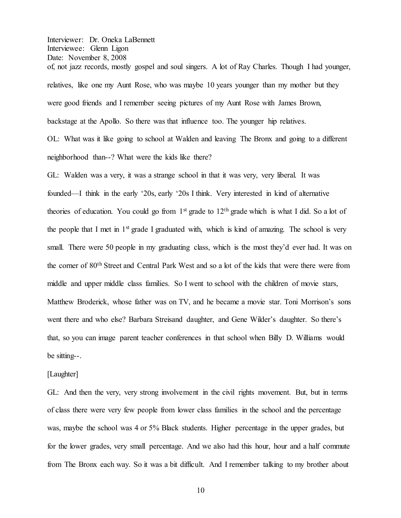Interviewer: Dr. Oneka LaBennett Interviewee: Glenn Ligon Date: November 8, 2008 of, not jazz records, mostly gospel and soul singers. A lot of Ray Charles. Though I had younger, relatives, like one my Aunt Rose, who was maybe 10 years younger than my mother but they were good friends and I remember seeing pictures of my Aunt Rose with James Brown, backstage at the Apollo. So there was that influence too. The younger hip relatives. OL: What was it like going to school at Walden and leaving The Bronx and going to a different neighborhood than--? What were the kids like there?

GL: Walden was a very, it was a strange school in that it was very, very liberal. It was founded—I think in the early '20s, early '20s I think. Very interested in kind of alternative theories of education. You could go from  $1<sup>st</sup>$  grade to  $12<sup>th</sup>$  grade which is what I did. So a lot of the people that I met in  $1<sup>st</sup>$  graduated with, which is kind of amazing. The school is very small. There were 50 people in my graduating class, which is the most they'd ever had. It was on the corner of 80th Street and Central Park West and so a lot of the kids that were there were from middle and upper middle class families. So I went to school with the children of movie stars, Matthew Broderick, whose father was on TV, and he became a movie star. Toni Morrison's sons went there and who else? Barbara Streisand daughter, and Gene Wilder's daughter. So there's that, so you can image parent teacher conferences in that school when Billy D. Williams would be sitting--.

## [Laughter]

GL: And then the very, very strong involvement in the civil rights movement. But, but in terms of class there were very few people from lower class families in the school and the percentage was, maybe the school was 4 or 5% Black students. Higher percentage in the upper grades, but for the lower grades, very small percentage. And we also had this hour, hour and a half commute from The Bronx each way. So it was a bit difficult. And I remember talking to my brother about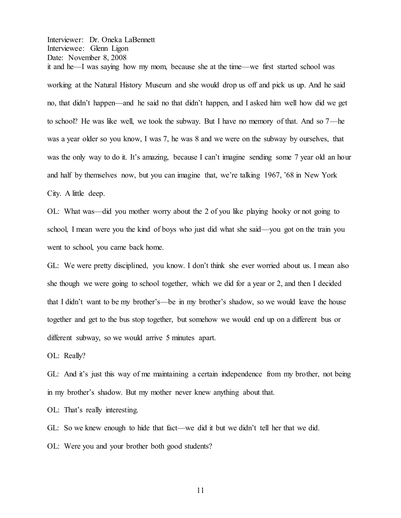Interviewer: Dr. Oneka LaBennett Interviewee: Glenn Ligon Date: November 8, 2008 it and he—I was saying how my mom, because she at the time—we first started school was working at the Natural History Museum and she would drop us off and pick us up. And he said no, that didn't happen—and he said no that didn't happen, and I asked him well how did we get to school? He was like well, we took the subway. But I have no memory of that. And so  $7$ —he was a year older so you know, I was 7, he was 8 and we were on the subway by ourselves, that was the only way to do it. It's amazing, because I can't imagine sending some 7 year old an hour and half by themselves now, but you can imagine that, we're talking  $1967$ , '68 in New York City. A little deep.

OL: What was—did you mother worry about the 2 of you like playing hooky or not going to school, I mean were you the kind of boys who just did what she said—you got on the train you went to school, you came back home.

GL: We were pretty disciplined, you know. I don't think she ever worried about us. I mean also she though we were going to school together, which we did for a year or 2, and then I decided that I didn't want to be my brother's—be in my brother's shadow, so we would leave the house together and get to the bus stop together, but somehow we would end up on a different bus or different subway, so we would arrive 5 minutes apart.

OL: Really?

GL: And it's just this way of me maintaining a certain independence from my brother, not being in my brother's shadow. But my mother never knew anything about that.

OL: That's really interesting.

GL: So we knew enough to hide that fact—we did it but we didn't tell her that we did.

OL: Were you and your brother both good students?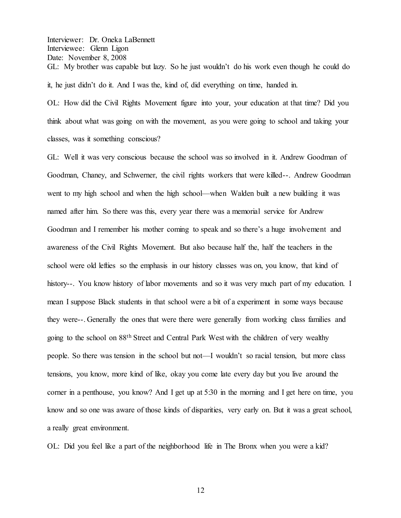Interviewer: Dr. Oneka LaBennett Interviewee: Glenn Ligon Date: November 8, 2008 GL: My brother was capable but lazy. So he just wouldn't do his work even though he could do it, he just didn't do it. And I was the, kind of, did everything on time, handed in.

OL: How did the Civil Rights Movement figure into your, your education at that time? Did you think about what was going on with the movement, as you were going to school and taking your classes, was it something conscious?

GL: Well it was very conscious because the school was so involved in it. Andrew Goodman of Goodman, Chaney, and Schwerner, the civil rights workers that were killed--. Andrew Goodman went to my high school and when the high school—when Walden built a new building it was named after him. So there was this, every year there was a memorial service for Andrew Goodman and I remember his mother coming to speak and so there's a huge involvement and awareness of the Civil Rights Movement. But also because half the, half the teachers in the school were old lefties so the emphasis in our history classes was on, you know, that kind of history--. You know history of labor movements and so it was very much part of my education. I mean I suppose Black students in that school were a bit of a experiment in some ways because they were--. Generally the ones that were there were generally from working class families and going to the school on 88th Street and Central Park West with the children of very wealthy people. So there was tension in the school but not—I wouldn't so racial tension, but more class tensions, you know, more kind of like, okay you come late every day but you live around the corner in a penthouse, you know? And I get up at 5:30 in the morning and I get here on time, you know and so one was aware of those kinds of disparities, very early on. But it was a great school, a really great environment.

OL: Did you feel like a part of the neighborhood life in The Bronx when you were a kid?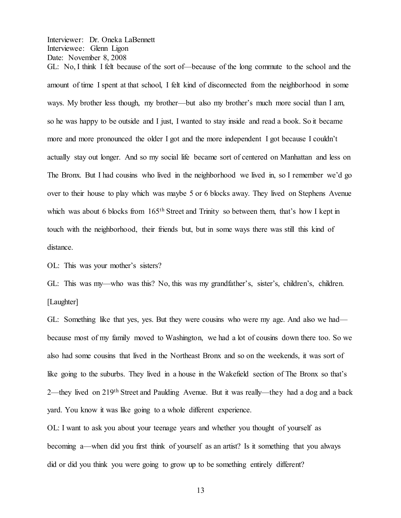GL: No, I think I felt because of the sort of—because of the long commute to the school and the amount of time I spent at that school, I felt kind of disconnected from the neighborhood in some ways. My brother less though, my brother—but also my brother's much more social than I am, so he was happy to be outside and I just, I wanted to stay inside and read a book. So it became more and more pronounced the older I got and the more independent I got because I couldn't actually stay out longer. And so my social life became sort of centered on Manhattan and less on The Bronx. But I had cousins who lived in the neighborhood we lived in, so I remember we'd go over to their house to play which was maybe 5 or 6 blocks away. They lived on Stephens Avenue which was about 6 blocks from  $165<sup>th</sup>$  Street and Trinity so between them, that's how I kept in touch with the neighborhood, their friends but, but in some ways there was still this kind of distance.

OL: This was your mother's sisters?

GL: This was my—who was this? No, this was my grandfather's, sister's, children's, children. [Laughter]

GL: Something like that yes, yes. But they were cousins who were my age. And also we had because most of my family moved to Washington, we had a lot of cousins down there too. So we also had some cousins that lived in the Northeast Bronx and so on the weekends, it was sort of like going to the suburbs. They lived in a house in the Wakefield section of The Bronx so that's 2—they lived on 219<sup>th</sup> Street and Paulding Avenue. But it was really—they had a dog and a back yard. You know it was like going to a whole different experience.

OL: I want to ask you about your teenage years and whether you thought of yourself as becoming a—when did you first think of yourself as an artist? Is it something that you always did or did you think you were going to grow up to be something entirely different?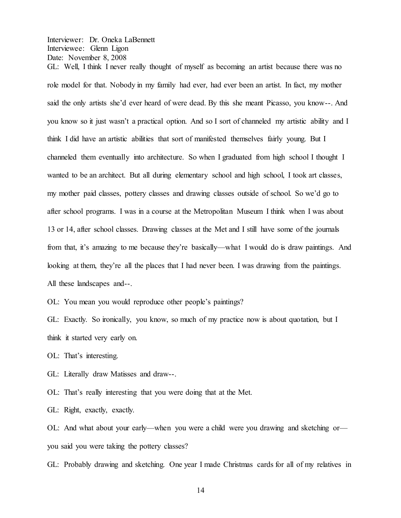GL: Well, I think I never really thought of myself as becoming an artist because there was no role model for that. Nobody in my family had ever, had ever been an artist. In fact, my mother said the only artists she'd ever heard of were dead. By this she meant Picasso, you know--. And you know so it just wasn't a practical option. And so I sort of channeled my artistic ability and I think I did have an artistic abilities that sort of manifested themselves fairly young. But I channeled them eventually into architecture. So when I graduated from high school I thought I wanted to be an architect. But all during elementary school and high school, I took art classes, my mother paid classes, pottery classes and drawing classes outside of school. So we'd go to after school programs. I was in a course at the Metropolitan Museum I think when I was about 13 or 14, after school classes. Drawing classes at the Met and I still have some of the journals from that, it's amazing to me because they're basically—what I would do is draw paintings. And looking at them, they're all the places that I had never been. I was drawing from the paintings. All these landscapes and--.

OL: You mean you would reproduce other people's paintings?

GL: Exactly. So ironically, you know, so much of my practice now is about quotation, but I think it started very early on.

OL: That's interesting.

GL: Literally draw Matisses and draw--.

OL: That's really interesting that you were doing that at the Met.

GL: Right, exactly, exactly.

OL: And what about your early—when you were a child were you drawing and sketching or you said you were taking the pottery classes?

GL: Probably drawing and sketching. One year I made Christmas cards for all of my relatives in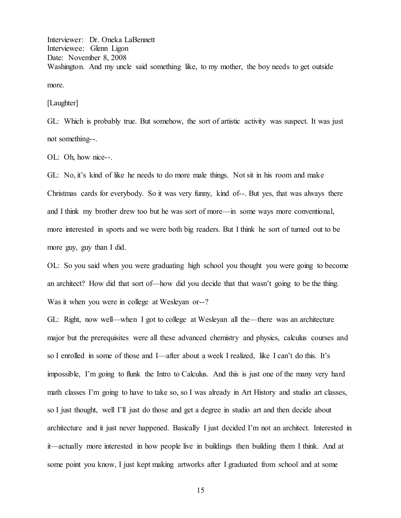Interviewer: Dr. Oneka LaBennett Interviewee: Glenn Ligon Date: November 8, 2008 Washington. And my uncle said something like, to my mother, the boy needs to get outside more.

[Laughter]

GL: Which is probably true. But somehow, the sort of artistic activity was suspect. It was just not something--.

OL: Oh, how nice--.

GL: No, it's kind of like he needs to do more male things. Not sit in his room and make Christmas cards for everybody. So it was very funny, kind of--. But yes, that was always there and I think my brother drew too but he was sort of more—in some ways more conventional, more interested in sports and we were both big readers. But I think he sort of turned out to be more guy, guy than I did.

OL: So you said when you were graduating high school you thought you were going to become an architect? How did that sort of—how did you decide that that wasn't going to be the thing. Was it when you were in college at Wesleyan or--?

GL: Right, now well—when I got to college at Wesleyan all the—there was an architecture major but the prerequisites were all these advanced chemistry and physics, calculus courses and so I enrolled in some of those and I—after about a week I realized, like I can't do this. It's impossible, I'm going to flunk the Intro to Calculus. And this is just one of the many very hard math classes I'm going to have to take so, so I was already in Art History and studio art classes, so I just thought, well I'll just do those and get a degree in studio art and then decide about architecture and it just never happened. Basically I just decided I'm not an architect. Interested in it—actually more interested in how people live in buildings then building them I think. And at some point you know, I just kept making artworks after I graduated from school and at some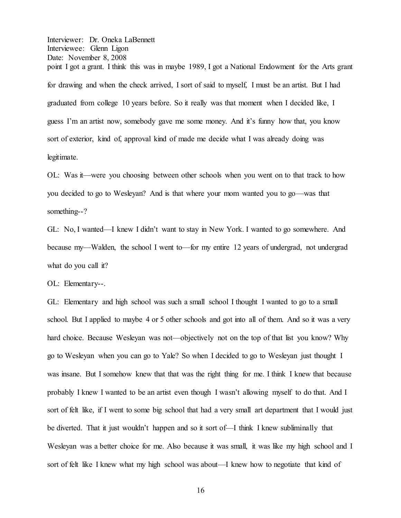Interviewer: Dr. Oneka LaBennett Interviewee: Glenn Ligon Date: November 8, 2008 point I got a grant. I think this was in maybe 1989, I got a National Endowment for the Arts grant for drawing and when the check arrived, I sort of said to myself, I must be an artist. But I had graduated from college 10 years before. So it really was that moment when I decided like, I guess I'm an artist now, somebody gave me some money. And it's funny how that, you know sort of exterior, kind of, approval kind of made me decide what I was already doing was legitimate.

OL: Was it—were you choosing between other schools when you went on to that track to how you decided to go to Wesleyan? And is that where your mom wanted you to go—was that something--?

GL: No, I wanted—I knew I didn't want to stay in New York. I wanted to go somewhere. And because my—Walden, the school I went to—for my entire  $12$  years of undergrad, not undergrad what do you call it?

OL: Elementary--.

GL: Elementary and high school was such a small school I thought I wanted to go to a small school. But I applied to maybe 4 or 5 other schools and got into all of them. And so it was a very hard choice. Because Wesleyan was not—objectively not on the top of that list you know? Why go to Wesleyan when you can go to Yale? So when I decided to go to Wesleyan just thought I was insane. But I somehow knew that that was the right thing for me. I think I knew that because probably I knew I wanted to be an artist even though I wasn't allowing myself to do that. And I sort of felt like, if I went to some big school that had a very small art department that I would just be diverted. That it just wouldn't happen and so it sort of—I think I knew subliminally that Wesleyan was a better choice for me. Also because it was small, it was like my high school and I sort of felt like I knew what my high school was about—I knew how to negotiate that kind of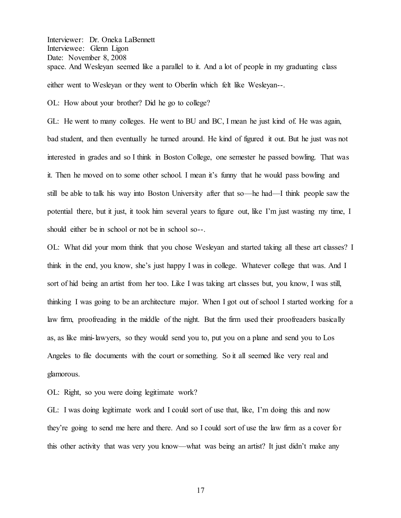Interviewer: Dr. Oneka LaBennett Interviewee: Glenn Ligon Date: November 8, 2008 space. And Wesleyan seemed like a parallel to it. And a lot of people in my graduating class either went to Wesleyan or they went to Oberlin which felt like Wesleyan--.

OL: How about your brother? Did he go to college?

GL: He went to many colleges. He went to BU and BC, I mean he just kind of. He was again, bad student, and then eventually he turned around. He kind of figured it out. But he just was not interested in grades and so I think in Boston College, one semester he passed bowling. That was it. Then he moved on to some other school. I mean it's funny that he would pass bowling and still be able to talk his way into Boston University after that so—he had—I think people saw the potential there, but it just, it took him several years to figure out, like I'm just wasting my time, I should either be in school or not be in school so--.

OL: What did your mom think that you chose Wesleyan and started taking all these art classes? I think in the end, you know, she's just happy I was in college. Whatever college that was. And I sort of hid being an artist from her too. Like I was taking art classes but, you know, I was still, thinking I was going to be an architecture major. When I got out of school I started working for a law firm, proofreading in the middle of the night. But the firm used their proofreaders basically as, as like mini-lawyers, so they would send you to, put you on a plane and send you to Los Angeles to file documents with the court or something. So it all seemed like very real and glamorous.

OL: Right, so you were doing legitimate work?

GL: I was doing legitimate work and I could sort of use that, like, I'm doing this and now they're going to send me here and there. And so I could sort of use the law firm as a cover for this other activity that was very you know—what was being an artist? It just didn't make any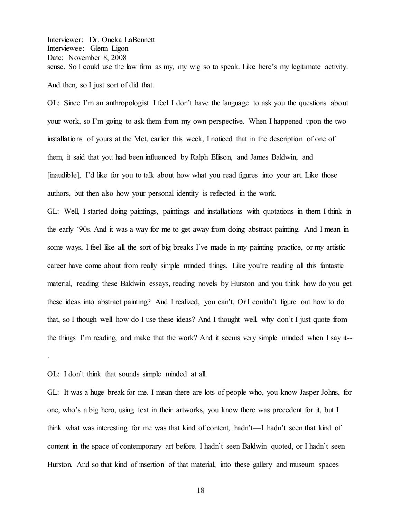Interviewer: Dr. Oneka LaBennett Interviewee: Glenn Ligon Date: November 8, 2008 sense. So I could use the law firm as my, my wig so to speak. Like here's my legitimate activity. And then, so I just sort of did that.

OL: Since I'm an anthropologist I feel I don't have the language to ask you the questions about your work, so I'm going to ask them from my own perspective. When I happened upon the two installations of yours at the Met, earlier this week, I noticed that in the description of one of them, it said that you had been influenced by Ralph Ellison, and James Baldwin, and [inaudible], I'd like for you to talk about how what you read figures into your art. Like those authors, but then also how your personal identity is reflected in the work.

GL: Well, I started doing paintings, paintings and installations with quotations in them I think in the early '90s. And it was a way for me to get away from doing abstract painting. And I mean in some ways, I feel like all the sort of big breaks I've made in my painting practice, or my artistic career have come about from really simple minded things. Like you're reading all this fantastic material, reading these Baldwin essays, reading novels by Hurston and you think how do you get these ideas into abstract painting? And I realized, you can't. Or I couldn't figure out how to do that, so I though well how do I use these ideas? And I thought well, why don't I just quote from the things I'm reading, and make that the work? And it seems very simple minded when I say it--

## OL: I don't think that sounds simple minded at all.

.

GL: It was a huge break for me. I mean there are lots of people who, you know Jasper Johns, for one, who's a big hero, using text in their artworks, you know there was precedent for it, but I think what was interesting for me was that kind of content, hadn't—I hadn't seen that kind of content in the space of contemporary art before. I hadn't seen Baldwin quoted, or I hadn't seen Hurston. And so that kind of insertion of that material, into these gallery and museum spaces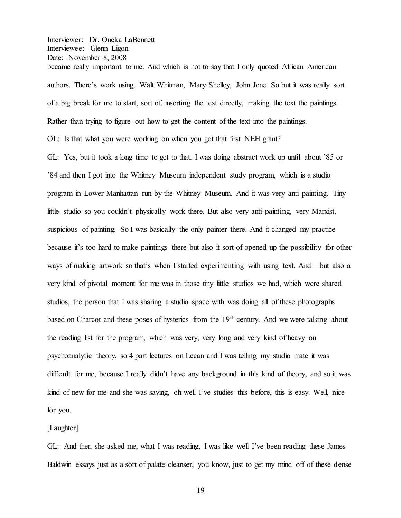Interviewer: Dr. Oneka LaBennett Interviewee: Glenn Ligon Date: November 8, 2008 became really important to me. And which is not to say that I only quoted African American authors. There's work using, Walt Whitman, Mary Shelley, John Jene. So but it was really sort

of a big break for me to start, sort of, inserting the text directly, making the text the paintings.

Rather than trying to figure out how to get the content of the text into the paintings.

OL: Is that what you were working on when you got that first NEH grant?

GL: Yes, but it took a long time to get to that. I was doing abstract work up until about '85 or '84 and then I got into the Whitney Museum independent study program, which is a studio program in Lower Manhattan run by the Whitney Museum. And it was very anti-painting. Tiny little studio so you couldn't physically work there. But also very anti-painting, very Marxist, suspicious of painting. So I was basically the only painter there. And it changed my practice because it's too hard to make paintings there but also it sort of opened up the possibility for other ways of making artwork so that's when I started experimenting with using text. And—but also a very kind of pivotal moment for me was in those tiny little studios we had, which were shared studios, the person that I was sharing a studio space with was doing all of these photographs based on Charcot and these poses of hysterics from the 19th century. And we were talking about the reading list for the program, which was very, very long and very kind of heavy on psychoanalytic theory, so 4 part lectures on Lecan and I was telling my studio mate it was difficult for me, because I really didn't have any background in this kind of theory, and so it was kind of new for me and she was saying, oh well I've studies this before, this is easy. Well, nice for you.

[Laughter]

GL: And then she asked me, what I was reading. I was like well I've been reading these James Baldwin essays just as a sort of palate cleanser, you know, just to get my mind off of these dense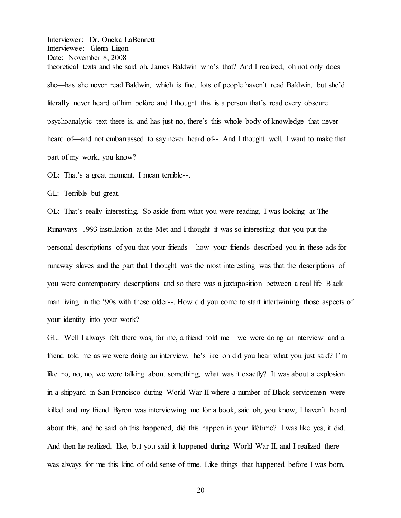Interviewer: Dr. Oneka LaBennett Interviewee: Glenn Ligon Date: November 8, 2008 theoretical texts and she said oh, James Baldwin who's that? And I realized, oh not only does she—has she never read Baldwin, which is fine, lots of people haven't read Baldwin, but she'd literally never heard of him before and I thought this is a person that's read every obscure psychoanalytic text there is, and has just no, there's this whole body of knowledge that never heard of—and not embarrassed to say never heard of--. And I thought well, I want to make that part of my work, you know?

OL: That's a great moment. I mean terrible--.

GL: Terrible but great.

OL: That's really interesting. So aside from what you were reading. I was looking at The Runaways 1993 installation at the Met and I thought it was so interesting that you put the personal descriptions of you that your friends²how your friends described you in these ads for runaway slaves and the part that I thought was the most interesting was that the descriptions of you were contemporary descriptions and so there was a juxtaposition between a real life Black man living in the '90s with these older--. How did you come to start intertwining those aspects of your identity into your work?

GL: Well I always felt there was, for me, a friend told me—we were doing an interview and a friend told me as we were doing an interview, he's like oh did you hear what you just said? I'm like no, no, no, we were talking about something, what was it exactly? It was about a explosion in a shipyard in San Francisco during World War II where a number of Black servicemen were killed and my friend Byron was interviewing me for a book, said oh, you know, I haven't heard about this, and he said oh this happened, did this happen in your lifetime? I was like yes, it did. And then he realized, like, but you said it happened during World War II, and I realized there was always for me this kind of odd sense of time. Like things that happened before I was born,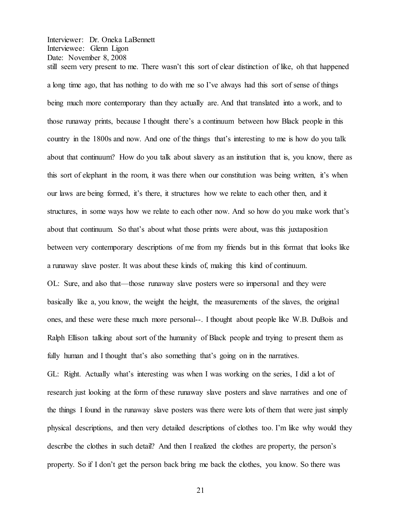Interviewer: Dr. Oneka LaBennett Interviewee: Glenn Ligon Date: November 8, 2008 still seem very present to me. There wasn't this sort of clear distinction of like, oh that happened

a long time ago, that has nothing to do with me so I've always had this sort of sense of things being much more contemporary than they actually are. And that translated into a work, and to those runaway prints, because I thought there's a continuum between how Black people in this country in the 1800s and now. And one of the things that's interesting to me is how do you talk about that continuum? How do you talk about slavery as an institution that is, you know, there as this sort of elephant in the room, it was there when our constitution was being written, it's when our laws are being formed, it's there, it structures how we relate to each other then, and it structures, in some ways how we relate to each other now. And so how do you make work that's about that continuum. So that's about what those prints were about, was this juxtaposition between very contemporary descriptions of me from my friends but in this format that looks like a runaway slave poster. It was about these kinds of, making this kind of continuum.

OL: Sure, and also that—those runaway slave posters were so impersonal and they were basically like a, you know, the weight the height, the measurements of the slaves, the original ones, and these were these much more personal--. I thought about people like W.B. DuBois and Ralph Ellison talking about sort of the humanity of Black people and trying to present them as fully human and I thought that's also something that's going on in the narratives.

GL: Right. Actually what's interesting was when I was working on the series, I did a lot of research just looking at the form of these runaway slave posters and slave narratives and one of the things I found in the runaway slave posters was there were lots of them that were just simply physical descriptions, and then very detailed descriptions of clothes too. I'm like why would they describe the clothes in such detail? And then I realized the clothes are property, the person's property. So if I don't get the person back bring me back the clothes, you know. So there was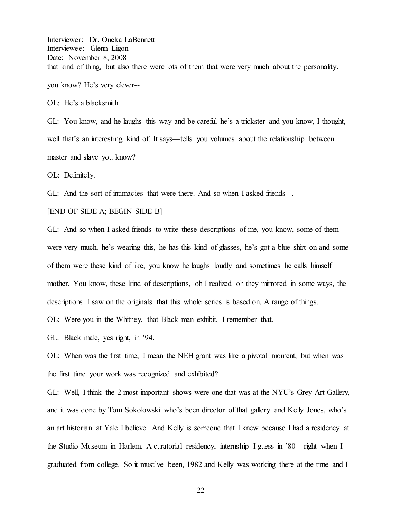Interviewer: Dr. Oneka LaBennett Interviewee: Glenn Ligon Date: November 8, 2008 that kind of thing, but also there were lots of them that were very much about the personality, you know? He's very clever--.

OL: He's a blacksmith.

GL: You know, and he laughs this way and be careful he's a trickster and you know, I thought, well that's an interesting kind of. It says—tells you volumes about the relationship between master and slave you know?

OL: Definitely.

GL: And the sort of intimacies that were there. And so when I asked friends--.

[END OF SIDE A; BEGIN SIDE B]

GL: And so when I asked friends to write these descriptions of me, you know, some of them were very much, he's wearing this, he has this kind of glasses, he's got a blue shirt on and some of them were these kind of like, you know he laughs loudly and sometimes he calls himself mother. You know, these kind of descriptions, oh I realized oh they mirrored in some ways, the descriptions I saw on the originals that this whole series is based on. A range of things.

OL: Were you in the Whitney, that Black man exhibit, I remember that.

GL: Black male, yes right, in '94.

OL: When was the first time, I mean the NEH grant was like a pivotal moment, but when was the first time your work was recognized and exhibited?

GL: Well, I think the 2 most important shows were one that was at the NYU's Grey Art Gallery, and it was done by Tom Sokolowski who's been director of that gallery and Kelly Jones, who's an art historian at Yale I believe. And Kelly is someone that I knew because I had a residency at the Studio Museum in Harlem. A curatorial residency, internship I guess in '80—right when I graduated from college. So it must ve been, 1982 and Kelly was working there at the time and I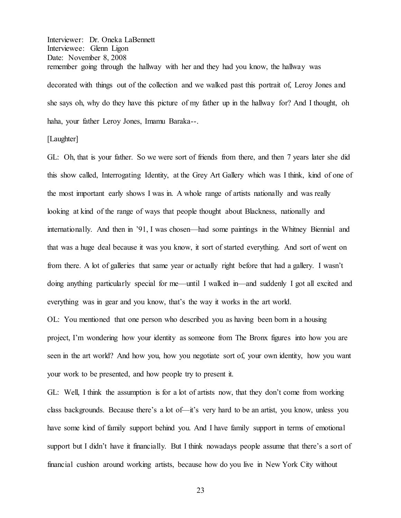Interviewer: Dr. Oneka LaBennett Interviewee: Glenn Ligon Date: November 8, 2008 remember going through the hallway with her and they had you know, the hallway was decorated with things out of the collection and we walked past this portrait of, Leroy Jones and she says oh, why do they have this picture of my father up in the hallway for? And I thought, oh haha, your father Leroy Jones, Imamu Baraka--.

[Laughter]

GL: Oh, that is your father. So we were sort of friends from there, and then 7 years later she did this show called, Interrogating Identity, at the Grey Art Gallery which was I think, kind of one of the most important early shows I was in. A whole range of artists nationally and was really looking at kind of the range of ways that people thought about Blackness, nationally and internationally. And then in '91, I was chosen—had some paintings in the Whitney Biennial and that was a huge deal because it was you know, it sort of started everything. And sort of went on from there. A lot of galleries that same year or actually right before that had a gallery. I wasn't doing anything particularly special for me—until I walked in—and suddenly I got all excited and everything was in gear and you know, that's the way it works in the art world.

OL: You mentioned that one person who described you as having been born in a housing project, I'm wondering how your identity as someone from The Bronx figures into how you are seen in the art world? And how you, how you negotiate sort of, your own identity, how you want your work to be presented, and how people try to present it.

GL: Well, I think the assumption is for a lot of artists now, that they don't come from working class backgrounds. Because there's a lot of—it's very hard to be an artist, you know, unless you have some kind of family support behind you. And I have family support in terms of emotional support but I didn't have it financially. But I think nowadays people assume that there's a sort of financial cushion around working artists, because how do you live in New York City without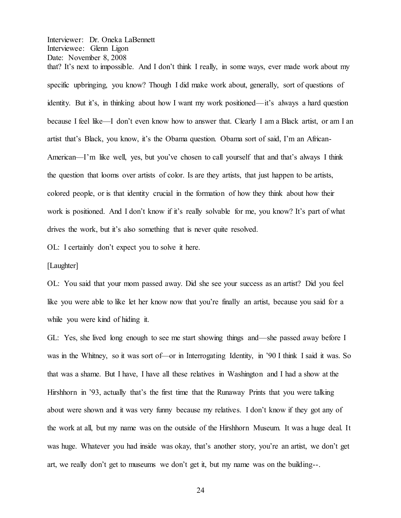that? It's next to impossible. And I don't think I really, in some ways, ever made work about my specific upbringing, you know? Though I did make work about, generally, sort of questions of identity. But it's, in thinking about how I want my work positioned—it's always a hard question because I feel like—I don't even know how to answer that. Clearly I am a Black artist, or am I an artist that's Black, you know, it's the Obama question. Obama sort of said, I'm an African-American—I'm like well, yes, but you've chosen to call yourself that and that's always I think the question that looms over artists of color. Is are they artists, that just happen to be artists, colored people, or is that identity crucial in the formation of how they think about how their work is positioned. And I don't know if it's really solvable for me, you know? It's part of what drives the work, but it's also something that is never quite resolved.

OL: I certainly don't expect you to solve it here.

[Laughter]

OL: You said that your mom passed away. Did she see your success as an artist? Did you feel like you were able to like let her know now that you're finally an artist, because you said for a while you were kind of hiding it.

GL: Yes, she lived long enough to see me start showing things and—she passed away before I was in the Whitney, so it was sort of or in Interrogating Identity, in '90 I think I said it was. So that was a shame. But I have, I have all these relatives in Washington and I had a show at the Hirshhorn in '93, actually that's the first time that the Runaway Prints that you were talking about were shown and it was very funny because my relatives. I don't know if they got any of the work at all, but my name was on the outside of the Hirshhorn Museum. It was a huge deal. It was huge. Whatever you had inside was okay, that's another story, you're an artist, we don't get art, we really don't get to museums we don't get it, but my name was on the building--.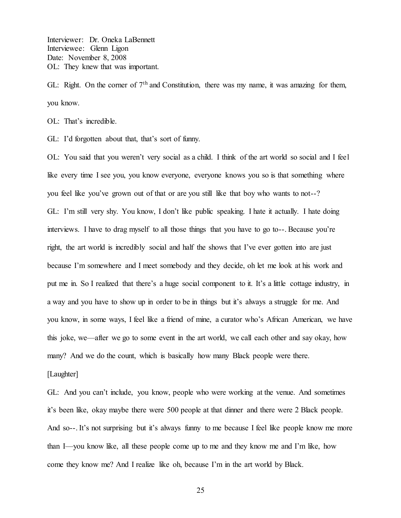Interviewer: Dr. Oneka LaBennett Interviewee: Glenn Ligon Date: November 8, 2008 OL: They knew that was important.

GL: Right. On the corner of  $7<sup>th</sup>$  and Constitution, there was my name, it was amazing for them, you know.

OL: That's incredible.

GL: I'd forgotten about that, that's sort of funny.

OL: You said that you weren't very social as a child. I think of the art world so social and I feel like every time I see you, you know everyone, everyone knows you so is that something where \, You feel like you've grown out of that or are you still like that boy who wants to not--? GL: I'm still very shy. You know, I don't like public speaking. I hate it actually. I hate doing interviews. I have to drag myself to all those things that you have to go to--. Because you're right, the art world is incredibly social and half the shows that I've ever gotten into are just because I'm somewhere and I meet somebody and they decide, oh let me look at his work and put me in. So I realized that there's a huge social component to it. It's a little cottage industry, in a way and you have to show up in order to be in things but it's always a struggle for me. And you know, in some ways, I feel like a friend of mine, a curator who's African American, we have this joke, we—after we go to some event in the art world, we call each other and say okay, how many? And we do the count, which is basically how many Black people were there.

[Laughter]

GL: And you can't include, you know, people who were working at the venue. And sometimes it's been like, okay maybe there were 500 people at that dinner and there were 2 Black people. And so--. It's not surprising but it's always funny to me because I feel like people know me more than I—you know like, all these people come up to me and they know me and I'm like, how come they know me? And I realize like oh, because I'm in the art world by Black.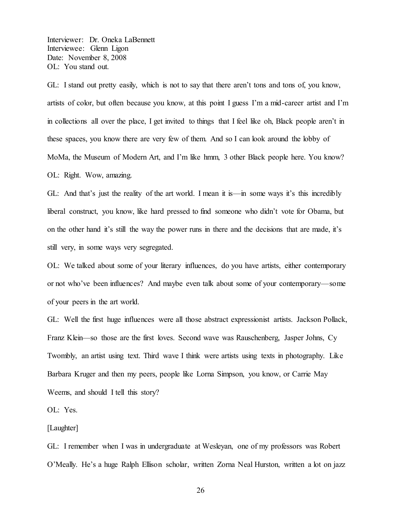Interviewer: Dr. Oneka LaBennett Interviewee: Glenn Ligon Date: November 8, 2008 OL: You stand out.

GL: I stand out pretty easily, which is not to say that there aren't tons and tons of, you know, artists of color, but often because you know, at this point I guess I'm a mid-career artist and I'm in collections all over the place, I get invited to things that I feel like oh, Black people aren't in these spaces, you know there are very few of them. And so I can look around the lobby of MoMa, the Museum of Modern Art, and I'm like hmm, 3 other Black people here. You know? OL: Right. Wow, amazing.

GL: And that's just the reality of the art world. I mean it is—in some ways it's this incredibly liberal construct, you know, like hard pressed to find someone who didn't vote for Obama, but on the other hand it's still the way the power runs in there and the decisions that are made, it's still very, in some ways very segregated.

OL: We talked about some of your literary influences, do you have artists, either contemporary or not who've been influences? And maybe even talk about some of your contemporary—some of your peers in the art world.

GL: Well the first huge influences were all those abstract expressionist artists. Jackson Pollack, Franz Klein—so those are the first loves. Second wave was Rauschenberg, Jasper Johns, Cy Twombly, an artist using text. Third wave I think were artists using texts in photography. Like Barbara Kruger and then my peers, people like Lorna Simpson, you know, or Carrie May Weems, and should I tell this story?

OL: Yes.

[Laughter]

GL: I remember when I was in undergraduate at Wesleyan, one of my professors was Robert O'Meally. He's a huge Ralph Ellison scholar, written Zorna Neal Hurston, written a lot on jazz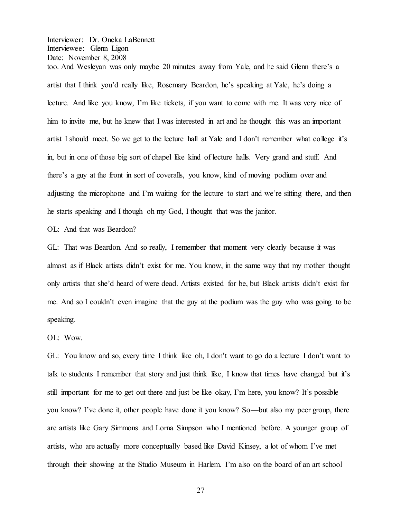Interviewer: Dr. Oneka LaBennett Interviewee: Glenn Ligon Date: November 8, 2008 too. And Wesleyan was only maybe 20 minutes away from Yale, and he said Glenn there's a artist that I think you'd really like, Rosemary Beardon, he's speaking at Yale, he's doing a lecture. And like you know, I'm like tickets, if you want to come with me. It was very nice of him to invite me, but he knew that I was interested in art and he thought this was an important artist I should meet. So we get to the lecture hall at Yale and I don't remember what college it's in, but in one of those big sort of chapel like kind of lecture halls. Very grand and stuff. And there's a guy at the front in sort of coveralls, you know, kind of moving podium over and adjusting the microphone and I'm waiting for the lecture to start and we're sitting there, and then he starts speaking and I though oh my God, I thought that was the janitor.

OL: And that was Beardon?

GL: That was Beardon. And so really, I remember that moment very clearly because it was almost as if Black artists didn't exist for me. You know, in the same way that my mother thought only artists that she'd heard of were dead. Artists existed for be, but Black artists didn't exist for me. And so I couldn't even imagine that the guy at the podium was the guy who was going to be speaking.

OL: Wow.

GL: You know and so, every time I think like oh, I don't want to go do a lecture I don't want to talk to students I remember that story and just think like, I know that times have changed but it's still important for me to get out there and just be like okay, I'm here, you know? It's possible you know? I've done it, other people have done it you know? So—but also my peer group, there are artists like Gary Simmons and Lorna Simpson who I mentioned before. A younger group of artists, who are actually more conceptually based like David Kinsey, a lot of whom I've met through their showing at the Studio Museum in Harlem. I'm also on the board of an art school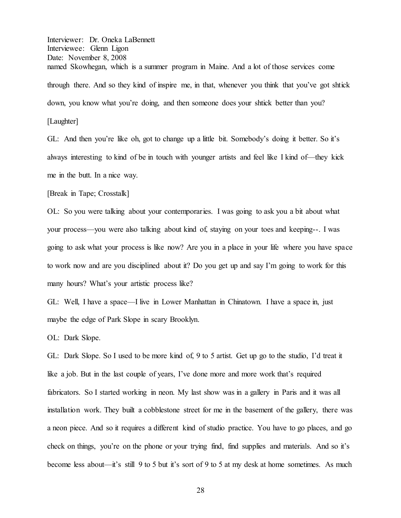Interviewer: Dr. Oneka LaBennett Interviewee: Glenn Ligon Date: November 8, 2008 named Skowhegan, which is a summer program in Maine. And a lot of those services come through there. And so they kind of inspire me, in that, whenever you think that you've got shtick down, you know what you're doing, and then someone does your shtick better than you?

[Laughter]

GL: And then you're like oh, got to change up a little bit. Somebody's doing it better. So it's always interesting to kind of be in touch with younger artists and feel like I kind of—they kick me in the butt. In a nice way.

[Break in Tape; Crosstalk]

OL: So you were talking about your contemporaries. I was going to ask you a bit about what your process—you were also talking about kind of, staying on your toes and keeping--. I was going to ask what your process is like now? Are you in a place in your life where you have space to work now and are you disciplined about it? Do you get up and say I'm going to work for this many hours? What's your artistic process like?

GL: Well, I have a space—I live in Lower Manhattan in Chinatown. I have a space in, just maybe the edge of Park Slope in scary Brooklyn.

OL: Dark Slope.

GL: Dark Slope. So I used to be more kind of, 9 to 5 artist. Get up go to the studio, I'd treat it like a job. But in the last couple of years, I've done more and more work that's required fabricators. So I started working in neon. My last show was in a gallery in Paris and it was all installation work. They built a cobblestone street for me in the basement of the gallery, there was a neon piece. And so it requires a different kind of studio practice. You have to go places, and go check on things, you're on the phone or your trying find, find supplies and materials. And so it's become less about—it's still 9 to 5 but it's sort of 9 to 5 at my desk at home sometimes. As much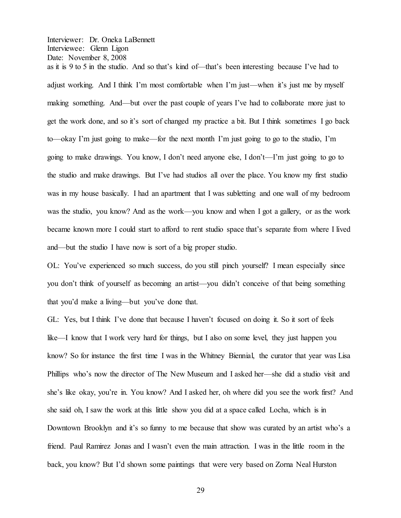as it is 9 to 5 in the studio. And so that's kind of—that's been interesting because I've had to adjust working. And I think I'm most comfortable when I'm just—when it's just me by myself making something. And—but over the past couple of years I've had to collaborate more just to get the work done, and so it's sort of changed my practice a bit. But I think sometimes I go back to—okay I'm just going to make—for the next month I'm just going to go to the studio, I'm going to make drawings. You know, I don't need anyone else, I don't—I'm just going to go to the studio and make drawings. But I've had studios all over the place. You know my first studio was in my house basically. I had an apartment that I was subletting and one wall of my bedroom was the studio, you know? And as the work—you know and when I got a gallery, or as the work became known more I could start to afford to rent studio space that's separate from where I lived and—but the studio I have now is sort of a big proper studio.

OL: You've experienced so much success, do you still pinch yourself? I mean especially since you don't think of yourself as becoming an artist—you didn't conceive of that being something that you'd make a living—but you've done that.

GL: Yes, but I think I've done that because I haven't focused on doing it. So it sort of feels like—I know that I work very hard for things, but I also on some level, they just happen you know? So for instance the first time I was in the Whitney Biennial, the curator that year was Lisa Phillips who's now the director of The New Museum and I asked her—she did a studio visit and she's like okay, you're in. You know? And I asked her, oh where did you see the work first? And she said oh, I saw the work at this little show you did at a space called Locha, which is in Downtown Brooklyn and it's so funny to me because that show was curated by an artist who's a friend. Paul Ramirez Jonas and I wasn't even the main attraction. I was in the little room in the back, you know? But I'd shown some paintings that were very based on Zorna Neal Hurston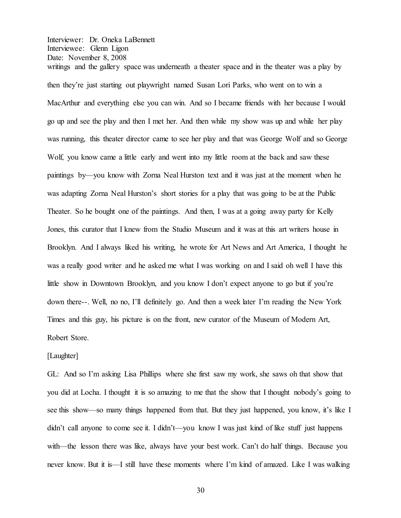Interviewer: Dr. Oneka LaBennett Interviewee: Glenn Ligon Date: November 8, 2008 writings and the gallery space was underneath a theater space and in the theater was a play by

then they're just starting out playwright named Susan Lori Parks, who went on to win a MacArthur and everything else you can win. And so I became friends with her because I would go up and see the play and then I met her. And then while my show was up and while her play was running, this theater director came to see her play and that was George Wolf and so George Wolf, you know came a little early and went into my little room at the back and saw these paintings by—you know with Zorna Neal Hurston text and it was just at the moment when he was adapting Zorna Neal Hurston's short stories for a play that was going to be at the Public Theater. So he bought one of the paintings. And then, I was at a going away party for Kelly Jones, this curator that I knew from the Studio Museum and it was at this art writers house in Brooklyn. And I always liked his writing, he wrote for Art News and Art America, I thought he was a really good writer and he asked me what I was working on and I said oh well I have this little show in Downtown Brooklyn, and you know I don't expect anyone to go but if you're down there--. Well, no no, I'll definitely go. And then a week later I'm reading the New York Times and this guy, his picture is on the front, new curator of the Museum of Modern Art, Robert Store.

## [Laughter]

GL: And so I'm asking Lisa Phillips where she first saw my work, she saws oh that show that you did at Locha. I thought it is so amazing to me that the show that I thought nobody's going to see this show—so many things happened from that. But they just happened, you know, it's like I  $d$ idn't call anyone to come see it. I didn't—you know I was just kind of like stuff just happens with—the lesson there was like, always have your best work. Can't do half things. Because you never know. But it is—I still have these moments where I'm kind of amazed. Like I was walking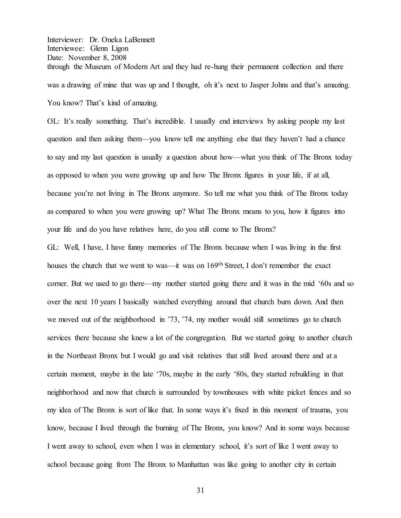Interviewer: Dr. Oneka LaBennett Interviewee: Glenn Ligon Date: November 8, 2008 through the Museum of Modern Art and they had re-hung their permanent collection and there was a drawing of mine that was up and I thought, oh it's next to Jasper Johns and that's amazing. You know? That's kind of amazing.

OL: It's really something. That's incredible. I usually end interviews by asking people my last question and then asking them—you know tell me anything else that they haven't had a chance to say and my last question is usually a question about how—what you think of The Bronx today as opposed to when you were growing up and how The Bronx figures in your life, if at all, because you're not living in The Bronx anymore. So tell me what you think of The Bronx today as compared to when you were growing up? What The Bronx means to you, how it figures into your life and do you have relatives here, do you still come to The Bronx?

GL: Well, I have, I have funny memories of The Bronx because when I was living in the first houses the church that we went to was—it was on 169<sup>th</sup> Street, I don't remember the exact corner. But we used to go there—my mother started going there and it was in the mid '60s and so over the next 10 years I basically watched everything around that church burn down. And then we moved out of the neighborhood in '73, '74, my mother would still sometimes go to church services there because she knew a lot of the congregation. But we started going to another church in the Northeast Bronx but I would go and visit relatives that still lived around there and at a certain moment, maybe in the late '70s, maybe in the early '80s, they started rebuilding in that neighborhood and now that church is surrounded by townhouses with white picket fences and so my idea of The Bronx is sort of like that. In some ways it's fixed in this moment of trauma, you know, because I lived through the burning of The Bronx, you know? And in some ways because I went away to school, even when I was in elementary school, it's sort of like I went away to school because going from The Bronx to Manhattan was like going to another city in certain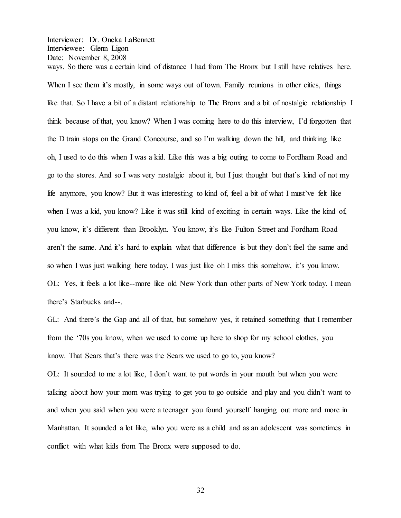Interviewer: Dr. Oneka LaBennett Interviewee: Glenn Ligon Date: November 8, 2008 ways. So there was a certain kind of distance I had from The Bronx but I still have relatives here.

When I see them it's mostly, in some ways out of town. Family reunions in other cities, things like that. So I have a bit of a distant relationship to The Bronx and a bit of nostalgic relationship I think because of that, you know? When I was coming here to do this interview. I'd forgotten that the D train stops on the Grand Concourse, and so I'm walking down the hill, and thinking like oh, I used to do this when I was a kid. Like this was a big outing to come to Fordham Road and go to the stores. And so I was very nostalgic about it, but I just thought but that's kind of not my life anymore, you know? But it was interesting to kind of, feel a bit of what I must've felt like when I was a kid, you know? Like it was still kind of exciting in certain ways. Like the kind of, you know, it's different than Brooklyn. You know, it's like Fulton Street and Fordham Road aren't the same. And it's hard to explain what that difference is but they don't feel the same and so when I was just walking here today, I was just like oh I miss this somehow, it's you know. OL: Yes, it feels a lot like--more like old New York than other parts of New York today. I mean there's Starbucks and--.

GL: And there's the Gap and all of that, but somehow yes, it retained something that I remember from the '70s you know, when we used to come up here to shop for my school clothes, you know. That Sears that's there was the Sears we used to go to, you know?

OL: It sounded to me a lot like, I don't want to put words in your mouth but when you were talking about how your mom was trying to get you to go outside and play and you didn't want to and when you said when you were a teenager you found yourself hanging out more and more in Manhattan. It sounded a lot like, who you were as a child and as an adolescent was sometimes in conflict with what kids from The Bronx were supposed to do.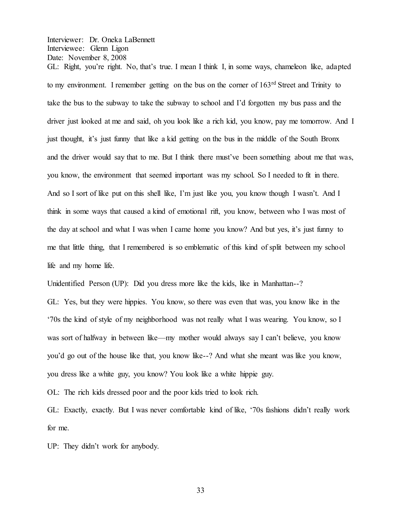$GL:$  Right, you're right. No, that's true. I mean I think I, in some ways, chameleon like, adapted to my environment. I remember getting on the bus on the corner of 163<sup>rd</sup> Street and Trinity to take the bus to the subway to take the subway to school and I'd forgotten my bus pass and the driver just looked at me and said, oh you look like a rich kid, you know, pay me tomorrow. And I just thought, it's just funny that like a kid getting on the bus in the middle of the South Bronx and the driver would say that to me. But I think there must've been something about me that was, you know, the environment that seemed important was my school. So I needed to fit in there. And so I sort of like put on this shell like, I'm just like you, you know though I wasn't. And I think in some ways that caused a kind of emotional rift, you know, between who I was most of the day at school and what I was when I came home you know? And but yes, it's just funny to me that little thing, that I remembered is so emblematic of this kind of split between my school life and my home life.

Unidentified Person (UP): Did you dress more like the kids, like in Manhattan--?

GL: Yes, but they were hippies. You know, so there was even that was, you know like in the '70s the kind of style of my neighborhood was not really what I was wearing. You know, so I was sort of halfway in between like—my mother would always say I can't believe, you know you'd go out of the house like that, you know like--? And what she meant was like you know, you dress like a white guy, you know? You look like a white hippie guy.

OL: The rich kids dressed poor and the poor kids tried to look rich.

GL: Exactly, exactly. But I was never comfortable kind of like, '70s fashions didn't really work for me.

 $UP$ : They didn't work for anybody.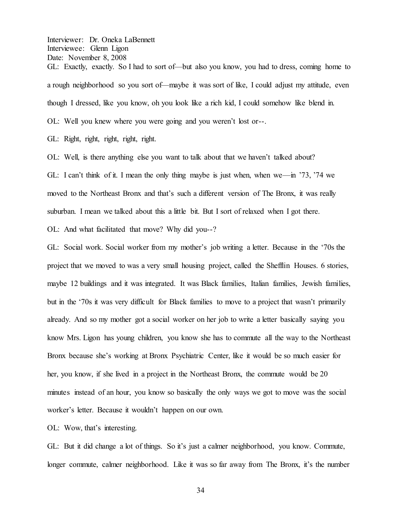Interviewer: Dr. Oneka LaBennett Interviewee: Glenn Ligon Date: November 8, 2008 GL: Exactly, exactly. So I had to sort of—but also you know, you had to dress, coming home to a rough neighborhood so you sort of-maybe it was sort of like, I could adjust my attitude, even though I dressed, like you know, oh you look like a rich kid, I could somehow like blend in. OL: Well you knew where you were going and you weren't lost or--.

GL: Right, right, right, right, right.

OL: Well, is there anything else you want to talk about that we haven't talked about?

GL: I can't think of it. I mean the only thing maybe is just when, when we—in '73, '74 we moved to the Northeast Bronx and that's such a different version of The Bronx, it was really suburban. I mean we talked about this a little bit. But I sort of relaxed when I got there.

OL: And what facilitated that move? Why did you--?

GL: Social work. Social worker from my mother's job writing a letter. Because in the '70s the project that we moved to was a very small housing project, called the Shefflin Houses. 6 stories, maybe 12 buildings and it was integrated. It was Black families, Italian families, Jewish families, but in the '70s it was very difficult for Black families to move to a project that wasn't primarily already. And so my mother got a social worker on her job to write a letter basically saying you know Mrs. Ligon has young children, you know she has to commute all the way to the Northeast Bronx because she's working at Bronx Psychiatric Center, like it would be so much easier for her, you know, if she lived in a project in the Northeast Bronx, the commute would be 20 minutes instead of an hour, you know so basically the only ways we got to move was the social worker's letter. Because it wouldn't happen on our own.

OL: Wow, that's interesting.

GL: But it did change a lot of things. So it's just a calmer neighborhood, you know. Commute, longer commute, calmer neighborhood. Like it was so far away from The Bronx, it's the number